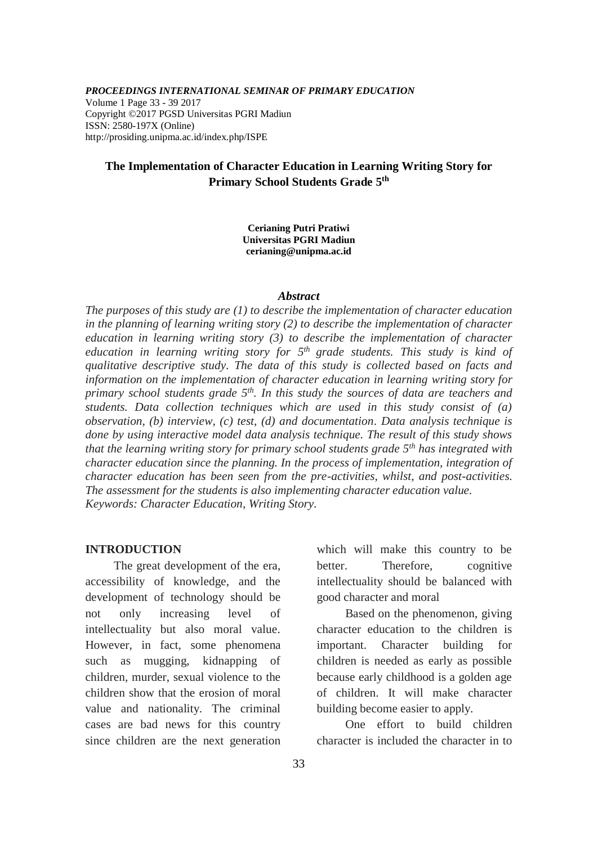### *PROCEEDINGS INTERNATIONAL SEMINAR OF PRIMARY EDUCATION*

Volume 1 Page 33 - 39 2017 Copyright ©2017 PGSD Universitas PGRI Madiun ISSN: 2580-197X (Online) http://prosiding.unipma.ac.id/index.php/ISPE

# **The Implementation of Character Education in Learning Writing Story for Primary School Students Grade 5 th**

**Cerianing Putri Pratiwi Universitas PGRI Madiun cerianing@unipma.ac.id**

#### *Abstract*

*The purposes of this study are (1) to describe the implementation of character education in the planning of learning writing story (2) to describe the implementation of character education in learning writing story (3) to describe the implementation of character*  education in learning writing story for  $5<sup>th</sup>$  grade students. This study is kind of *qualitative descriptive study. The data of this study is collected based on facts and information on the implementation of character education in learning writing story for primary school students grade 5th. In this study the sources of data are teachers and students. Data collection techniques which are used in this study consist of (a) observation, (b) interview, (c) test, (d) and documentation. Data analysis technique is done by using interactive model data analysis technique. The result of this study shows that the learning writing story for primary school students grade 5th has integrated with character education since the planning. In the process of implementation, integration of character education has been seen from the pre-activities, whilst, and post-activities. The assessment for the students is also implementing character education value. Keywords: Character Education, Writing Story.*

### **INTRODUCTION**

The great development of the era, accessibility of knowledge, and the development of technology should be not only increasing level of intellectuality but also moral value. However, in fact, some phenomena such as mugging, kidnapping of children, murder, sexual violence to the children show that the erosion of moral value and nationality. The criminal cases are bad news for this country since children are the next generation which will make this country to be better. Therefore, cognitive intellectuality should be balanced with good character and moral

Based on the phenomenon, giving character education to the children is important. Character building for children is needed as early as possible because early childhood is a golden age of children. It will make character building become easier to apply.

One effort to build children character is included the character in to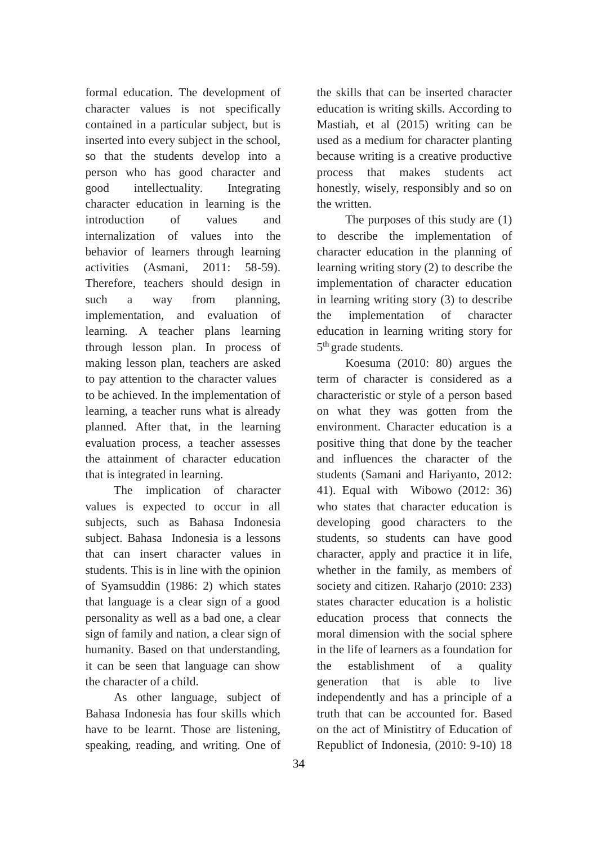formal education. The development of character values is not specifically contained in a particular subject, but is inserted into every subject in the school, so that the students develop into a person who has good character and good intellectuality. Integrating character education in learning is the introduction of values and internalization of values into the behavior of learners through learning activities (Asmani, 2011: 58-59). Therefore, teachers should design in such a way from planning, implementation, and evaluation of learning. A teacher plans learning through lesson plan. In process of making lesson plan, teachers are asked to pay attention to the character values to be achieved. In the implementation of learning, a teacher runs what is already planned. After that, in the learning evaluation process, a teacher assesses the attainment of character education that is integrated in learning.

The implication of character values is expected to occur in all subjects, such as Bahasa Indonesia subject. Bahasa Indonesia is a lessons that can insert character values in students. This is in line with the opinion of Syamsuddin (1986: 2) which states that language is a clear sign of a good personality as well as a bad one, a clear sign of family and nation, a clear sign of humanity. Based on that understanding, it can be seen that language can show the character of a child.

As other language, subject of Bahasa Indonesia has four skills which have to be learnt. Those are listening, speaking, reading, and writing. One of the skills that can be inserted character education is writing skills. According to Mastiah, et al (2015) writing can be used as a medium for character planting because writing is a creative productive process that makes students act honestly, wisely, responsibly and so on the written.

The purposes of this study are (1) to describe the implementation of character education in the planning of learning writing story (2) to describe the implementation of character education in learning writing story (3) to describe the implementation of character education in learning writing story for 5<sup>th</sup> grade students.

Koesuma (2010: 80) argues the term of character is considered as a characteristic or style of a person based on what they was gotten from the environment. Character education is a positive thing that done by the teacher and influences the character of the students (Samani and Hariyanto, 2012: 41). Equal with Wibowo (2012: 36) who states that character education is developing good characters to the students, so students can have good character, apply and practice it in life, whether in the family, as members of society and citizen. Raharjo (2010: 233) states character education is a holistic education process that connects the moral dimension with the social sphere in the life of learners as a foundation for the establishment of a quality generation that is able to live independently and has a principle of a truth that can be accounted for. Based on the act of Ministitry of Education of Republict of Indonesia, (2010: 9-10) 18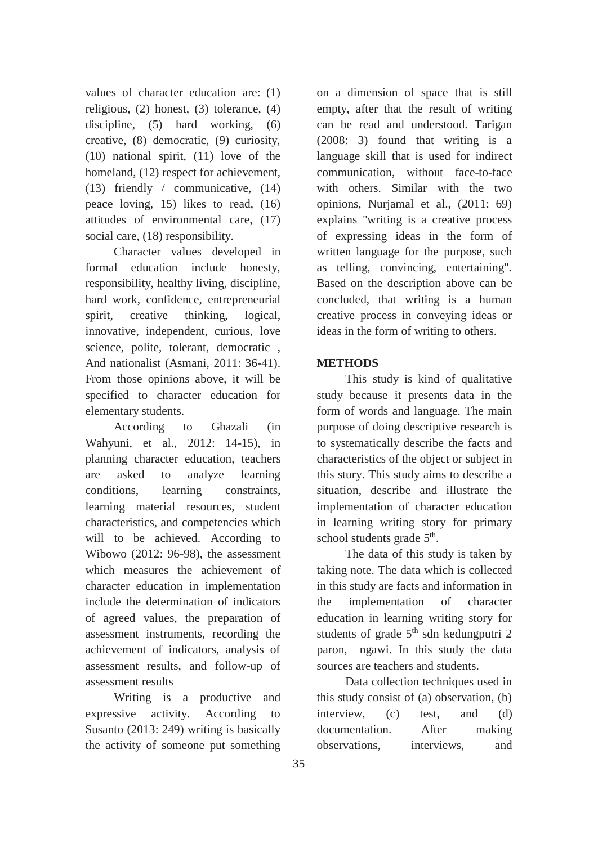values of character education are: (1) religious, (2) honest, (3) tolerance, (4) discipline, (5) hard working, (6) creative, (8) democratic, (9) curiosity, (10) national spirit, (11) love of the homeland,  $(12)$  respect for achievement, (13) friendly / communicative, (14) peace loving, 15) likes to read, (16) attitudes of environmental care, (17) social care,  $(18)$  responsibility.

Character values developed in formal education include honesty, responsibility, healthy living, discipline, hard work, confidence, entrepreneurial spirit, creative thinking, logical, innovative, independent, curious, love science, polite, tolerant, democratic , And nationalist (Asmani, 2011: 36-41). From those opinions above, it will be specified to character education for elementary students.

According to Ghazali (in Wahyuni, et al., 2012: 14-15), in planning character education, teachers are asked to analyze learning conditions, learning constraints, learning material resources, student characteristics, and competencies which will to be achieved. According to Wibowo (2012: 96-98), the assessment which measures the achievement of character education in implementation include the determination of indicators of agreed values, the preparation of assessment instruments, recording the achievement of indicators, analysis of assessment results, and follow-up of assessment results

Writing is a productive and expressive activity. According to Susanto (2013: 249) writing is basically the activity of someone put something on a dimension of space that is still empty, after that the result of writing can be read and understood. Tarigan (2008: 3) found that writing is a language skill that is used for indirect communication, without face-to-face with others. Similar with the two opinions, Nurjamal et al., (2011: 69) explains "writing is a creative process of expressing ideas in the form of written language for the purpose, such as telling, convincing, entertaining". Based on the description above can be concluded, that writing is a human creative process in conveying ideas or ideas in the form of writing to others.

## **METHODS**

This study is kind of qualitative study because it presents data in the form of words and language. The main purpose of doing descriptive research is to systematically describe the facts and characteristics of the object or subject in this stury. This study aims to describe a situation, describe and illustrate the implementation of character education in learning writing story for primary school students grade 5<sup>th</sup>.

The data of this study is taken by taking note. The data which is collected in this study are facts and information in the implementation of character education in learning writing story for students of grade  $5<sup>th</sup>$  sdn kedungputri 2 paron, ngawi. In this study the data sources are teachers and students.

Data collection techniques used in this study consist of (a) observation, (b) interview, (c) test, and (d) documentation. After making observations, interviews, and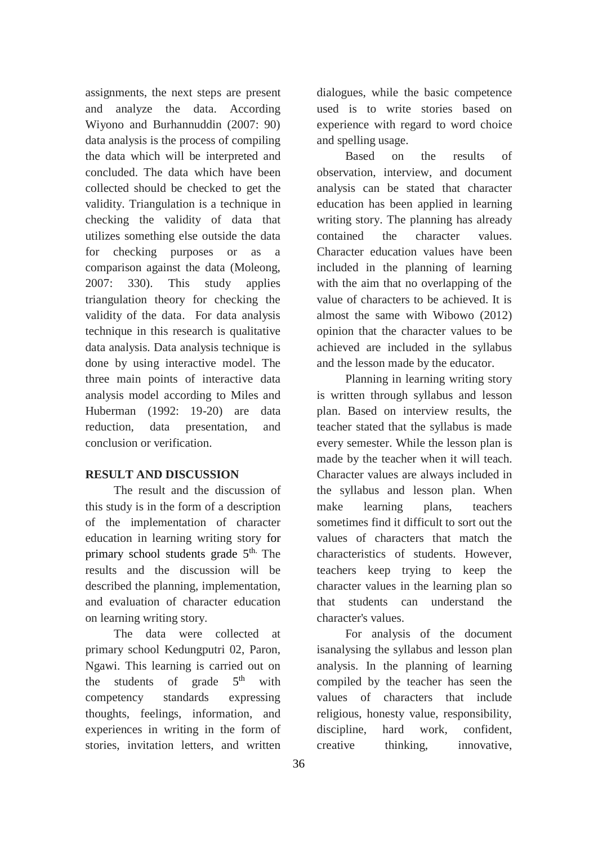assignments, the next steps are present and analyze the data. According Wiyono and Burhannuddin (2007: 90) data analysis is the process of compiling the data which will be interpreted and concluded. The data which have been collected should be checked to get the validity. Triangulation is a technique in checking the validity of data that utilizes something else outside the data for checking purposes or as a comparison against the data (Moleong, 2007: 330). This study applies triangulation theory for checking the validity of the data. For data analysis technique in this research is qualitative data analysis. Data analysis technique is done by using interactive model. The three main points of interactive data analysis model according to Miles and Huberman (1992: 19-20) are data reduction, data presentation, and conclusion or verification.

## **RESULT AND DISCUSSION**

The result and the discussion of this study is in the form of a description of the implementation of character education in learning writing story for primary school students grade  $5<sup>th</sup>$ . The results and the discussion will be described the planning, implementation, and evaluation of character education on learning writing story.

The data were collected at primary school Kedungputri 02, Paron, Ngawi. This learning is carried out on the students of grade  $5<sup>th</sup>$ with competency standards expressing thoughts, feelings, information, and experiences in writing in the form of stories, invitation letters, and written

dialogues, while the basic competence used is to write stories based on experience with regard to word choice and spelling usage.

Based on the results of observation, interview, and document analysis can be stated that character education has been applied in learning writing story. The planning has already contained the character values. Character education values have been included in the planning of learning with the aim that no overlapping of the value of characters to be achieved. It is almost the same with Wibowo (2012) opinion that the character values to be achieved are included in the syllabus and the lesson made by the educator.

Planning in learning writing story is written through syllabus and lesson plan. Based on interview results, the teacher stated that the syllabus is made every semester. While the lesson plan is made by the teacher when it will teach. Character values are always included in the syllabus and lesson plan. When make learning plans, teachers sometimes find it difficult to sort out the values of characters that match the characteristics of students. However, teachers keep trying to keep the character values in the learning plan so that students can understand the character's values.

For analysis of the document isanalysing the syllabus and lesson plan analysis. In the planning of learning compiled by the teacher has seen the values of characters that include religious, honesty value, responsibility, discipline, hard work, confident, creative thinking, innovative,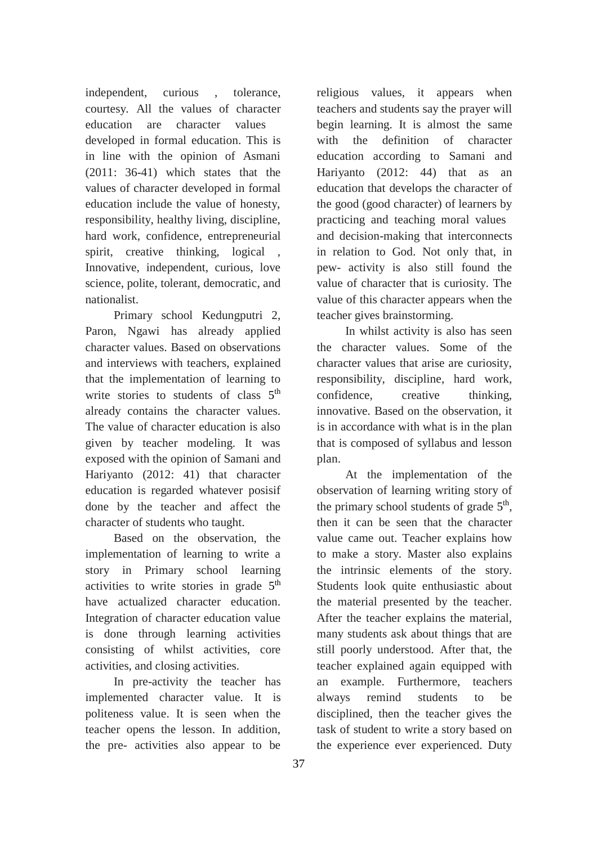independent, curious , tolerance, courtesy. All the values of character education are character values developed in formal education. This is in line with the opinion of Asmani (2011: 36-41) which states that the values of character developed in formal education include the value of honesty, responsibility, healthy living, discipline, hard work, confidence, entrepreneurial spirit, creative thinking, logical , Innovative, independent, curious, love science, polite, tolerant, democratic, and nationalist.

Primary school Kedungputri 2, Paron, Ngawi has already applied character values. Based on observations and interviews with teachers, explained that the implementation of learning to write stories to students of class 5<sup>th</sup> already contains the character values. The value of character education is also given by teacher modeling. It was exposed with the opinion of Samani and Hariyanto (2012: 41) that character education is regarded whatever posisif done by the teacher and affect the character of students who taught.

Based on the observation, the implementation of learning to write a story in Primary school learning activities to write stories in grade 5<sup>th</sup> have actualized character education. Integration of character education value is done through learning activities consisting of whilst activities, core activities, and closing activities.

In pre-activity the teacher has implemented character value. It is politeness value. It is seen when the teacher opens the lesson. In addition, the pre- activities also appear to be

religious values, it appears when teachers and students say the prayer will begin learning. It is almost the same with the definition of character education according to Samani and Hariyanto (2012: 44) that as an education that develops the character of the good (good character) of learners by practicing and teaching moral values and decision-making that interconnects in relation to God. Not only that, in pew- activity is also still found the value of character that is curiosity. The value of this character appears when the teacher gives brainstorming.

In whilst activity is also has seen the character values. Some of the character values that arise are curiosity, responsibility, discipline, hard work, confidence, creative thinking, innovative. Based on the observation, it is in accordance with what is in the plan that is composed of syllabus and lesson plan.

At the implementation of the observation of learning writing story of the primary school students of grade  $5<sup>th</sup>$ , then it can be seen that the character value came out. Teacher explains how to make a story. Master also explains the intrinsic elements of the story. Students look quite enthusiastic about the material presented by the teacher. After the teacher explains the material, many students ask about things that are still poorly understood. After that, the teacher explained again equipped with an example. Furthermore, teachers always remind students to be disciplined, then the teacher gives the task of student to write a story based on the experience ever experienced. Duty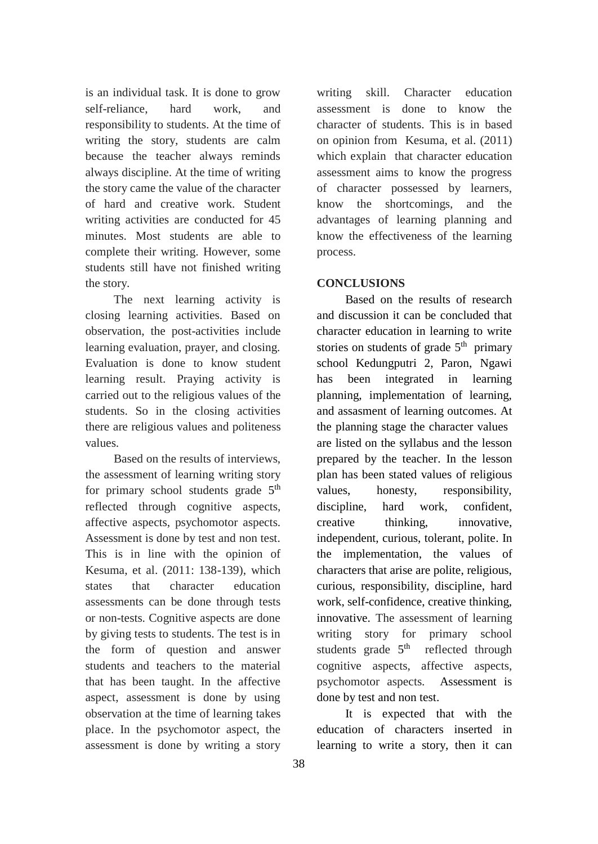is an individual task. It is done to grow self-reliance, hard work, and responsibility to students. At the time of writing the story, students are calm because the teacher always reminds always discipline. At the time of writing the story came the value of the character of hard and creative work. Student writing activities are conducted for 45 minutes. Most students are able to complete their writing. However, some students still have not finished writing the story.

The next learning activity is closing learning activities. Based on observation, the post-activities include learning evaluation, prayer, and closing. Evaluation is done to know student learning result. Praying activity is carried out to the religious values of the students. So in the closing activities there are religious values and politeness values.

Based on the results of interviews, the assessment of learning writing story for primary school students grade 5<sup>th</sup> reflected through cognitive aspects, affective aspects, psychomotor aspects. Assessment is done by test and non test. This is in line with the opinion of Kesuma, et al. (2011: 138-139), which states that character education assessments can be done through tests or non-tests. Cognitive aspects are done by giving tests to students. The test is in the form of question and answer students and teachers to the material that has been taught. In the affective aspect, assessment is done by using observation at the time of learning takes place. In the psychomotor aspect, the assessment is done by writing a story

writing skill. Character education assessment is done to know the character of students. This is in based on opinion from Kesuma, et al. (2011) which explain that character education assessment aims to know the progress of character possessed by learners, know the shortcomings, and the advantages of learning planning and know the effectiveness of the learning process.

# **CONCLUSIONS**

Based on the results of research and discussion it can be concluded that character education in learning to write stories on students of grade  $5<sup>th</sup>$  primary school Kedungputri 2, Paron, Ngawi has been integrated in learning planning, implementation of learning, and assasment of learning outcomes. At the planning stage the character values are listed on the syllabus and the lesson prepared by the teacher. In the lesson plan has been stated values of religious values, honesty, responsibility, discipline, hard work, confident, creative thinking, innovative, independent, curious, tolerant, polite. In the implementation, the values of characters that arise are polite, religious, curious, responsibility, discipline, hard work, self-confidence, creative thinking, innovative. The assessment of learning writing story for primary school students grade  $5<sup>th</sup>$ reflected through cognitive aspects, affective aspects, psychomotor aspects. Assessment is done by test and non test.

It is expected that with the education of characters inserted in learning to write a story, then it can